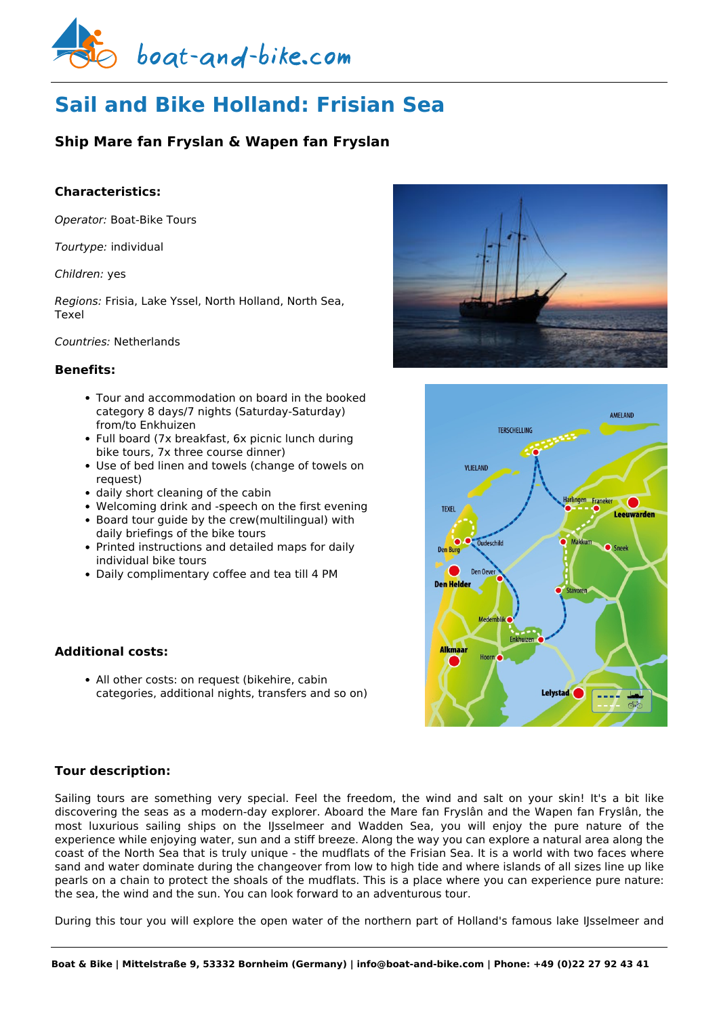

# **Sail and Bike Holland: Frisian Sea**

## **Ship Mare fan Fryslan & Wapen fan Fryslan**

## **Characteristics:**

*Operator:* [Boat-Bike Tours](https://www.boat-and-bike.com/operator/boat-bike-tours.html)

*Tourtype:* individual

#### *Children:* yes

*Regions:* Frisia, Lake Yssel, North Holland, North Sea, Texel

#### *Countries:* Netherlands

## **Benefits:**

- Tour and accommodation on board in the booked category 8 days/7 nights (Saturday-Saturday) from/to Enkhuizen
- Full board (7x breakfast, 6x picnic lunch during bike tours, 7x three course dinner)
- Use of bed linen and towels (change of towels on request)
- daily short cleaning of the cabin
- Welcoming drink and -speech on the first evening
- Board tour guide by the crew(multilingual) with daily briefings of the bike tours
- Printed instructions and detailed maps for daily individual bike tours
- Daily complimentary coffee and tea till 4 PM

## **Additional costs:**

• All other costs: on request (bikehire, cabin categories, additional nights, transfers and so on)





## **Tour description:**

Sailing tours are something very special. Feel the freedom, the wind and salt on your skin! It's a bit like discovering the seas as a modern-day explorer. Aboard the Mare fan Fryslân and the Wapen fan Fryslân, the most luxurious sailing ships on the IJsselmeer and Wadden Sea, you will enjoy the pure nature of the experience while enjoying water, sun and a stiff breeze. Along the way you can explore a natural area along the coast of the North Sea that is truly unique - the mudflats of the Frisian Sea. It is a world with two faces where sand and water dominate during the changeover from low to high tide and where islands of all sizes line up like pearls on a chain to protect the shoals of the mudflats. This is a place where you can experience pure nature: the sea, the wind and the sun. You can look forward to an adventurous tour.

During this tour you will explore the open water of the northern part of Holland's famous lake IJsselmeer and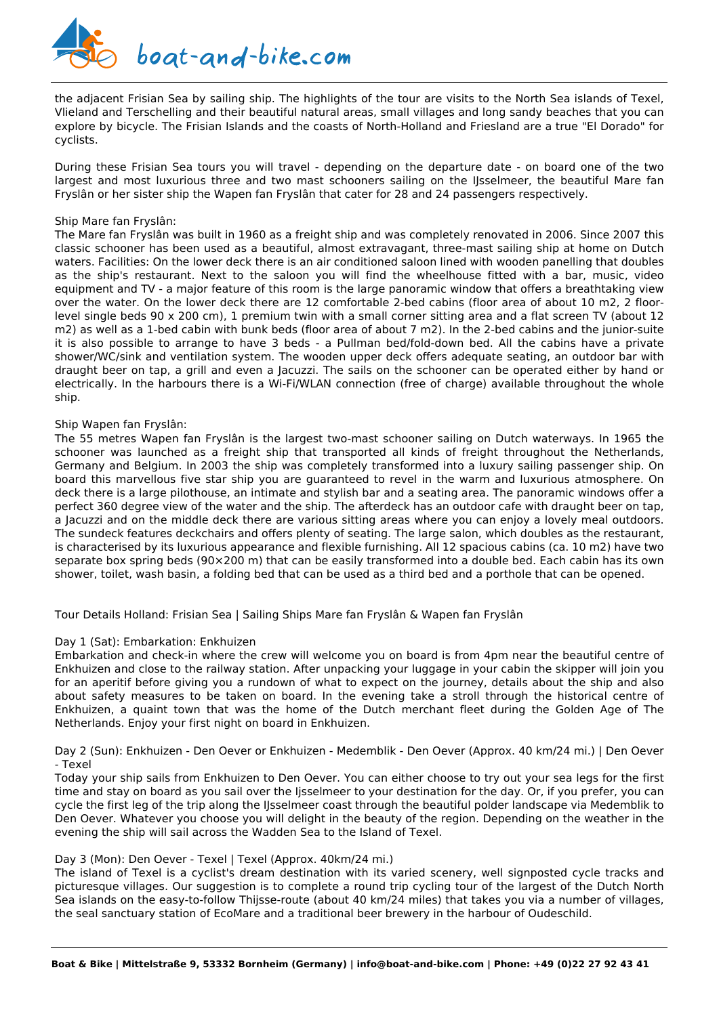

the adjacent Frisian Sea by sailing ship. The highlights of the tour are visits to the North Sea islands of Texel, Vlieland and Terschelling and their beautiful natural areas, small villages and long sandy beaches that you can explore by bicycle. The Frisian Islands and the coasts of North-Holland and Friesland are a true "El Dorado" for cyclists.

During these Frisian Sea tours you will travel - depending on the departure date - on board one of the two largest and most luxurious three and two mast schooners sailing on the IJsselmeer, the beautiful Mare fan Fryslân or her sister ship the Wapen fan Fryslân that cater for 28 and 24 passengers respectively.

#### Ship Mare fan Fryslân:

The Mare fan Fryslân was built in 1960 as a freight ship and was completely renovated in 2006. Since 2007 this classic schooner has been used as a beautiful, almost extravagant, three-mast sailing ship at home on Dutch waters. Facilities: On the lower deck there is an air conditioned saloon lined with wooden panelling that doubles as the ship's restaurant. Next to the saloon you will find the wheelhouse fitted with a bar, music, video equipment and TV - a major feature of this room is the large panoramic window that offers a breathtaking view over the water. On the lower deck there are 12 comfortable 2-bed cabins (floor area of about 10 m2, 2 floorlevel single beds 90 x 200 cm), 1 premium twin with a small corner sitting area and a flat screen TV (about 12 m2) as well as a 1-bed cabin with bunk beds (floor area of about 7 m2). In the 2-bed cabins and the junior-suite it is also possible to arrange to have 3 beds - a Pullman bed/fold-down bed. All the cabins have a private shower/WC/sink and ventilation system. The wooden upper deck offers adequate seating, an outdoor bar with draught beer on tap, a grill and even a Jacuzzi. The sails on the schooner can be operated either by hand or electrically. In the harbours there is a Wi-Fi/WLAN connection (free of charge) available throughout the whole ship.

#### Ship Wapen fan Fryslân:

The 55 metres Wapen fan Fryslân is the largest two-mast schooner sailing on Dutch waterways. In 1965 the schooner was launched as a freight ship that transported all kinds of freight throughout the Netherlands, Germany and Belgium. In 2003 the ship was completely transformed into a luxury sailing passenger ship. On board this marvellous five star ship you are guaranteed to revel in the warm and luxurious atmosphere. On deck there is a large pilothouse, an intimate and stylish bar and a seating area. The panoramic windows offer a perfect 360 degree view of the water and the ship. The afterdeck has an outdoor cafe with draught beer on tap, a Jacuzzi and on the middle deck there are various sitting areas where you can enjoy a lovely meal outdoors. The sundeck features deckchairs and offers plenty of seating. The large salon, which doubles as the restaurant, is characterised by its luxurious appearance and flexible furnishing. All 12 spacious cabins (ca. 10 m2) have two separate box spring beds (90×200 m) that can be easily transformed into a double bed. Each cabin has its own shower, toilet, wash basin, a folding bed that can be used as a third bed and a porthole that can be opened.

Tour Details Holland: Frisian Sea | Sailing Ships Mare fan Fryslân & Wapen fan Fryslân

#### Day 1 (Sat): Embarkation: Enkhuizen

Embarkation and check-in where the crew will welcome you on board is from 4pm near the beautiful centre of Enkhuizen and close to the railway station. After unpacking your luggage in your cabin the skipper will join you for an aperitif before giving you a rundown of what to expect on the journey, details about the ship and also about safety measures to be taken on board. In the evening take a stroll through the historical centre of Enkhuizen, a quaint town that was the home of the Dutch merchant fleet during the Golden Age of The Netherlands. Enjoy your first night on board in Enkhuizen.

Day 2 (Sun): Enkhuizen - Den Oever or Enkhuizen - Medemblik - Den Oever (Approx. 40 km/24 mi.) | Den Oever - Texel

Today your ship sails from Enkhuizen to Den Oever. You can either choose to try out your sea legs for the first time and stay on board as you sail over the Ijsselmeer to your destination for the day. Or, if you prefer, you can cycle the first leg of the trip along the IJsselmeer coast through the beautiful polder landscape via Medemblik to Den Oever. Whatever you choose you will delight in the beauty of the region. Depending on the weather in the evening the ship will sail across the Wadden Sea to the Island of Texel.

#### Day 3 (Mon): Den Oever - Texel | Texel (Approx. 40km/24 mi.)

The island of Texel is a cyclist's dream destination with its varied scenery, well signposted cycle tracks and picturesque villages. Our suggestion is to complete a round trip cycling tour of the largest of the Dutch North Sea islands on the easy-to-follow Thijsse-route (about 40 km/24 miles) that takes you via a number of villages, the seal sanctuary station of EcoMare and a traditional beer brewery in the harbour of Oudeschild.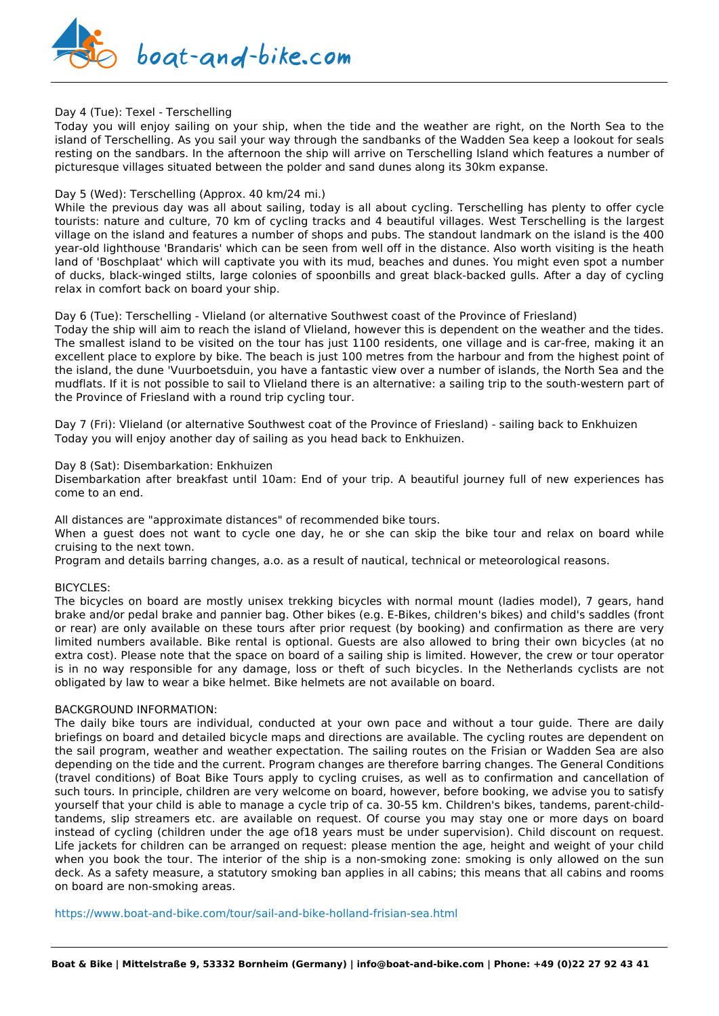

#### Day 4 (Tue): Texel - Terschelling

Today you will enjoy sailing on your ship, when the tide and the weather are right, on the North Sea to the island of Terschelling. As you sail your way through the sandbanks of the Wadden Sea keep a lookout for seals resting on the sandbars. In the afternoon the ship will arrive on Terschelling Island which features a number of picturesque villages situated between the polder and sand dunes along its 30km expanse.

#### Day 5 (Wed): Terschelling (Approx. 40 km/24 mi.)

While the previous day was all about sailing, today is all about cycling. Terschelling has plenty to offer cycle tourists: nature and culture, 70 km of cycling tracks and 4 beautiful villages. West Terschelling is the largest village on the island and features a number of shops and pubs. The standout landmark on the island is the 400 year-old lighthouse 'Brandaris' which can be seen from well off in the distance. Also worth visiting is the heath land of 'Boschplaat' which will captivate you with its mud, beaches and dunes. You might even spot a number of ducks, black-winged stilts, large colonies of spoonbills and great black-backed gulls. After a day of cycling relax in comfort back on board your ship.

#### Day 6 (Tue): Terschelling - Vlieland (or alternative Southwest coast of the Province of Friesland)

Today the ship will aim to reach the island of Vlieland, however this is dependent on the weather and the tides. The smallest island to be visited on the tour has just 1100 residents, one village and is car-free, making it an excellent place to explore by bike. The beach is just 100 metres from the harbour and from the highest point of the island, the dune 'Vuurboetsduin, you have a fantastic view over a number of islands, the North Sea and the mudflats. If it is not possible to sail to Vlieland there is an alternative: a sailing trip to the south-western part of the Province of Friesland with a round trip cycling tour.

Day 7 (Fri): Vlieland (or alternative Southwest coat of the Province of Friesland) - sailing back to Enkhuizen Today you will enjoy another day of sailing as you head back to Enkhuizen.

#### Day 8 (Sat): Disembarkation: Enkhuizen

Disembarkation after breakfast until 10am: End of your trip. A beautiful journey full of new experiences has come to an end.

All distances are "approximate distances" of recommended bike tours.

When a guest does not want to cycle one day, he or she can skip the bike tour and relax on board while cruising to the next town.

Program and details barring changes, a.o. as a result of nautical, technical or meteorological reasons.

#### BICYCLES:

The bicycles on board are mostly unisex trekking bicycles with normal mount (ladies model), 7 gears, hand brake and/or pedal brake and pannier bag. Other bikes (e.g. E-Bikes, children's bikes) and child's saddles (front or rear) are only available on these tours after prior request (by booking) and confirmation as there are very limited numbers available. Bike rental is optional. Guests are also allowed to bring their own bicycles (at no extra cost). Please note that the space on board of a sailing ship is limited. However, the crew or tour operator is in no way responsible for any damage, loss or theft of such bicycles. In the Netherlands cyclists are not obligated by law to wear a bike helmet. Bike helmets are not available on board.

#### BACKGROUND INFORMATION:

The daily bike tours are individual, conducted at your own pace and without a tour guide. There are daily briefings on board and detailed bicycle maps and directions are available. The cycling routes are dependent on the sail program, weather and weather expectation. The sailing routes on the Frisian or Wadden Sea are also depending on the tide and the current. Program changes are therefore barring changes. The General Conditions (travel conditions) of Boat Bike Tours apply to cycling cruises, as well as to confirmation and cancellation of such tours. In principle, children are very welcome on board, however, before booking, we advise you to satisfy yourself that your child is able to manage a cycle trip of ca. 30-55 km. Children's bikes, tandems, parent-childtandems, slip streamers etc. are available on request. Of course you may stay one or more days on board instead of cycling (children under the age of18 years must be under supervision). Child discount on request. Life jackets for children can be arranged on request: please mention the age, height and weight of your child when you book the tour. The interior of the ship is a non-smoking zone: smoking is only allowed on the sun deck. As a safety measure, a statutory smoking ban applies in all cabins; this means that all cabins and rooms on board are non-smoking areas.

<https://www.boat-and-bike.com/tour/sail-and-bike-holland-frisian-sea.html>